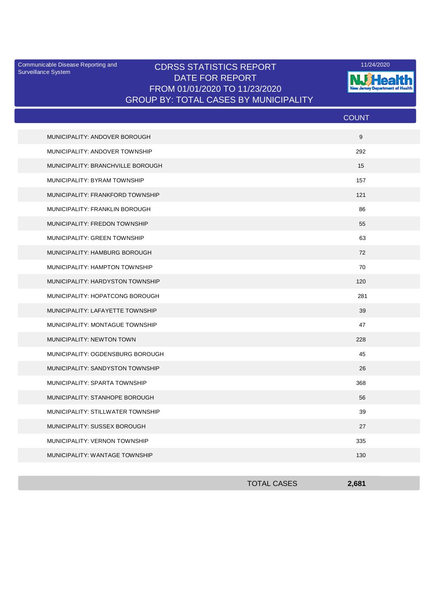Surveillance System

## Communicable Disease Reporting and **CDRSS STATISTICS REPORT** 11/24/2020<br>Surveillance Statem DATE FOR REPORT FROM 01/01/2020 TO 11/23/2020 GROUP BY: TOTAL CASES BY MUNICIPALITY



|                                   | <b>COUNT</b> |
|-----------------------------------|--------------|
| MUNICIPALITY: ANDOVER BOROUGH     | 9            |
| MUNICIPALITY: ANDOVER TOWNSHIP    | 292          |
| MUNICIPALITY: BRANCHVILLE BOROUGH | 15           |
| MUNICIPALITY: BYRAM TOWNSHIP      | 157          |
| MUNICIPALITY: FRANKFORD TOWNSHIP  | 121          |
| MUNICIPALITY: FRANKLIN BOROUGH    | 86           |
| MUNICIPALITY: FREDON TOWNSHIP     | 55           |
| MUNICIPALITY: GREEN TOWNSHIP      | 63           |
| MUNICIPALITY: HAMBURG BOROUGH     | 72           |
| MUNICIPALITY: HAMPTON TOWNSHIP    | 70           |
| MUNICIPALITY: HARDYSTON TOWNSHIP  | 120          |
| MUNICIPALITY: HOPATCONG BOROUGH   | 281          |
| MUNICIPALITY: LAFAYETTE TOWNSHIP  | 39           |
| MUNICIPALITY: MONTAGUE TOWNSHIP   | 47           |
| MUNICIPALITY: NEWTON TOWN         | 228          |
| MUNICIPALITY: OGDENSBURG BOROUGH  | 45           |
| MUNICIPALITY: SANDYSTON TOWNSHIP  | 26           |
| MUNICIPALITY: SPARTA TOWNSHIP     | 368          |
| MUNICIPALITY: STANHOPE BOROUGH    | 56           |
| MUNICIPALITY: STILLWATER TOWNSHIP | 39           |
| MUNICIPALITY: SUSSEX BOROUGH      | 27           |
| MUNICIPALITY: VERNON TOWNSHIP     | 335          |
| MUNICIPALITY: WANTAGE TOWNSHIP    | 130          |

| <b>TOTAL CASES</b> | 2,681 |
|--------------------|-------|
|                    |       |